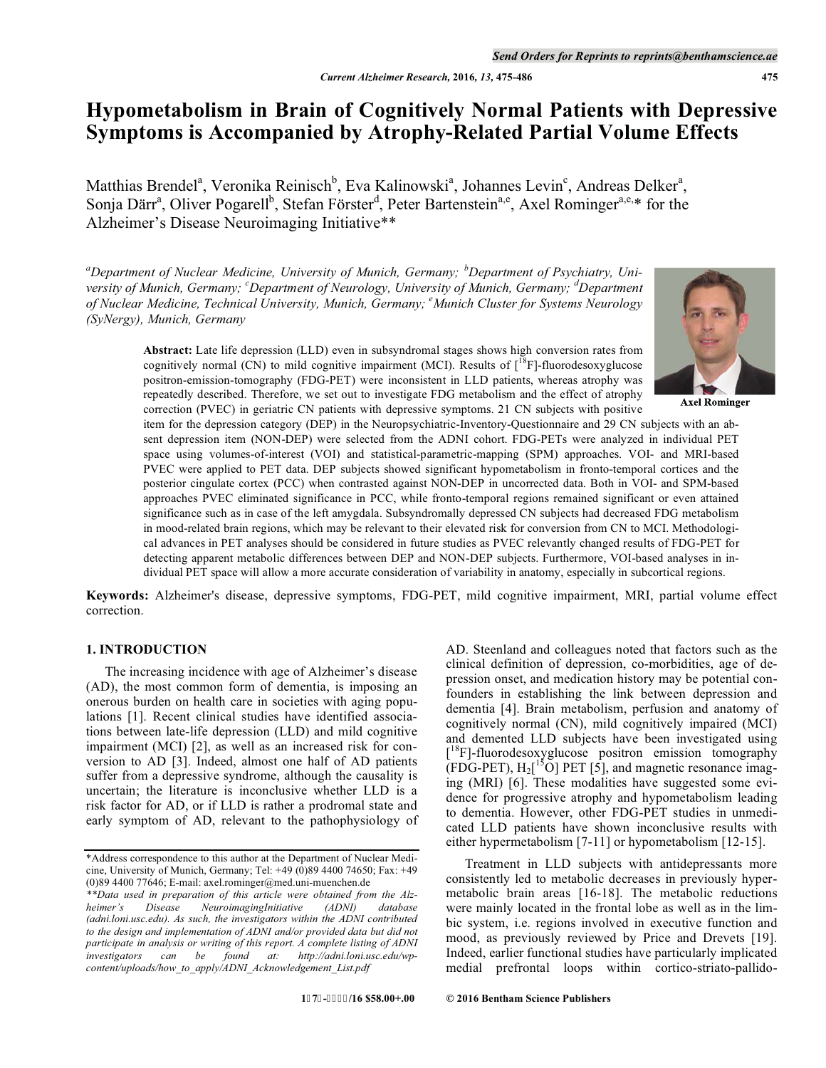# **Hypometabolism in Brain of Cognitively Normal Patients with Depressive Symptoms is Accompanied by Atrophy-Related Partial Volume Effects**

Matthias Brendel<sup>a</sup>, Veronika Reinisch<sup>b</sup>, Eva Kalinowski<sup>a</sup>, Johannes Levin<sup>c</sup>, Andreas Delker<sup>a</sup>, Sonja Därr<sup>a</sup>, Oliver Pogarell<sup>b</sup>, Stefan Förster<sup>d</sup>, Peter Bartenstein<sup>a,e</sup>, Axel Rominger<sup>a,e,\*</sup> for the Alzheimer's Disease Neuroimaging Initiative\*\*

*a Department of Nuclear Medicine, University of Munich, Germany; <sup>b</sup> Department of Psychiatry, University of Munich, Germany; <sup>c</sup> Department of Neurology, University of Munich, Germany; <sup>d</sup> Department of Nuclear Medicine, Technical University, Munich, Germany; e Munich Cluster for Systems Neurology (SyNergy), Munich, Germany* 



**Axel Rominger** 

**Abstract:** Late life depression (LLD) even in subsyndromal stages shows high conversion rates from cognitively normal  $(CN)$  to mild cognitive impairment (MCI). Results of  $\binom{18}{1}$ -fluorodesoxyglucose positron-emission-tomography (FDG-PET) were inconsistent in LLD patients, whereas atrophy was repeatedly described. Therefore, we set out to investigate FDG metabolism and the effect of atrophy correction (PVEC) in geriatric CN patients with depressive symptoms. 21 CN subjects with positive

item for the depression category (DEP) in the Neuropsychiatric-Inventory-Questionnaire and 29 CN subjects with an absent depression item (NON-DEP) were selected from the ADNI cohort. FDG-PETs were analyzed in individual PET space using volumes-of-interest (VOI) and statistical-parametric-mapping (SPM) approaches. VOI- and MRI-based PVEC were applied to PET data. DEP subjects showed significant hypometabolism in fronto-temporal cortices and the posterior cingulate cortex (PCC) when contrasted against NON-DEP in uncorrected data. Both in VOI- and SPM-based approaches PVEC eliminated significance in PCC, while fronto-temporal regions remained significant or even attained significance such as in case of the left amygdala. Subsyndromally depressed CN subjects had decreased FDG metabolism in mood-related brain regions, which may be relevant to their elevated risk for conversion from CN to MCI. Methodological advances in PET analyses should be considered in future studies as PVEC relevantly changed results of FDG-PET for detecting apparent metabolic differences between DEP and NON-DEP subjects. Furthermore, VOI-based analyses in individual PET space will allow a more accurate consideration of variability in anatomy, especially in subcortical regions.

**Keywords:** Alzheimer's disease, depressive symptoms, FDG-PET, mild cognitive impairment, MRI, partial volume effect correction.

# **1. INTRODUCTION**

The increasing incidence with age of Alzheimer's disease (AD), the most common form of dementia, is imposing an onerous burden on health care in societies with aging populations [1]. Recent clinical studies have identified associations between late-life depression (LLD) and mild cognitive impairment (MCI) [2], as well as an increased risk for conversion to AD [3]. Indeed, almost one half of AD patients suffer from a depressive syndrome, although the causality is uncertain; the literature is inconclusive whether LLD is a risk factor for AD, or if LLD is rather a prodromal state and early symptom of AD, relevant to the pathophysiology of AD. Steenland and colleagues noted that factors such as the clinical definition of depression, co-morbidities, age of depression onset, and medication history may be potential confounders in establishing the link between depression and dementia [4]. Brain metabolism, perfusion and anatomy of cognitively normal (CN), mild cognitively impaired (MCI) and demented LLD subjects have been investigated using [<sup>18</sup>F]-fluorodesoxyglucose positron emission tomography  $(FDG-PET)$ ,  $H_2[^{15}O]$  PET [5], and magnetic resonance imaging (MRI) [6]. These modalities have suggested some evidence for progressive atrophy and hypometabolism leading to dementia. However, other FDG-PET studies in unmedicated LLD patients have shown inconclusive results with either hypermetabolism [7-11] or hypometabolism [12-15].

Treatment in LLD subjects with antidepressants more consistently led to metabolic decreases in previously hypermetabolic brain areas [16-18]. The metabolic reductions were mainly located in the frontal lobe as well as in the limbic system, i.e. regions involved in executive function and mood, as previously reviewed by Price and Drevets [19]. Indeed, earlier functional studies have particularly implicated medial prefrontal loops within cortico-striato-pallido-

<sup>\*</sup>Address correspondence to this author at the Department of Nuclear Medicine, University of Munich, Germany; Tel: +49 (0)89 4400 74650; Fax: +49 (0)89 4400 77646; E-mail: axel.rominger@med.uni-muenchen.de

*<sup>\*\*</sup>Data used in preparation of this article were obtained from the Alzheimer's Disease NeuroimagingInitiative (ADNI) database (adni.loni.usc.edu). As such, the investigators within the ADNI contributed to the design and implementation of ADNI and/or provided data but did not participate in analysis or writing of this report. A complete listing of ADNI investigators can be found at: http://adni.loni.usc.edu/wpcontent/uploads/how\_to\_apply/ADNI\_Acknowledgement\_List.pdf*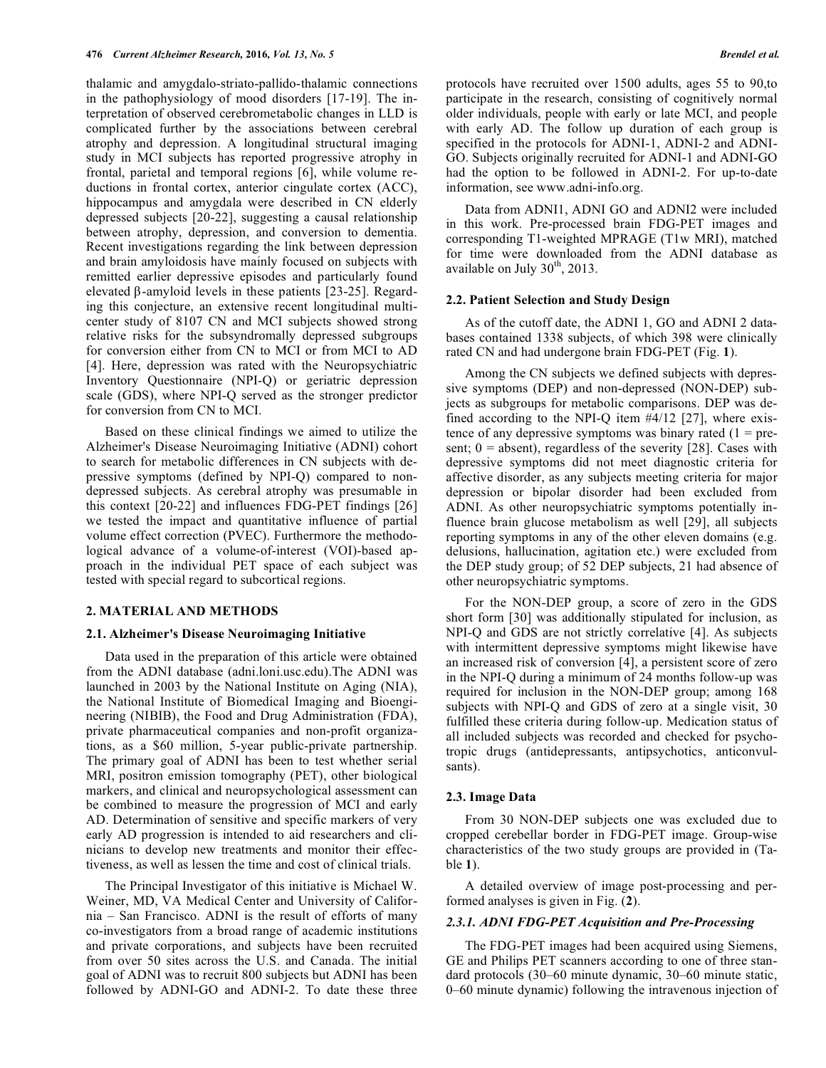thalamic and amygdalo-striato-pallido-thalamic connections in the pathophysiology of mood disorders [17-19]. The interpretation of observed cerebrometabolic changes in LLD is complicated further by the associations between cerebral atrophy and depression. A longitudinal structural imaging study in MCI subjects has reported progressive atrophy in frontal, parietal and temporal regions [6], while volume reductions in frontal cortex, anterior cingulate cortex (ACC), hippocampus and amygdala were described in CN elderly depressed subjects [20-22], suggesting a causal relationship between atrophy, depression, and conversion to dementia. Recent investigations regarding the link between depression and brain amyloidosis have mainly focused on subjects with remitted earlier depressive episodes and particularly found elevated β-amyloid levels in these patients [23-25]. Regarding this conjecture, an extensive recent longitudinal multicenter study of 8107 CN and MCI subjects showed strong relative risks for the subsyndromally depressed subgroups for conversion either from CN to MCI or from MCI to AD [4]. Here, depression was rated with the Neuropsychiatric Inventory Questionnaire (NPI-Q) or geriatric depression scale (GDS), where NPI-Q served as the stronger predictor for conversion from CN to MCI.

Based on these clinical findings we aimed to utilize the Alzheimer's Disease Neuroimaging Initiative (ADNI) cohort to search for metabolic differences in CN subjects with depressive symptoms (defined by NPI-Q) compared to nondepressed subjects. As cerebral atrophy was presumable in this context [20-22] and influences FDG-PET findings [26] we tested the impact and quantitative influence of partial volume effect correction (PVEC). Furthermore the methodological advance of a volume-of-interest (VOI)-based approach in the individual PET space of each subject was tested with special regard to subcortical regions.

### **2. MATERIAL AND METHODS**

## **2.1. Alzheimer's Disease Neuroimaging Initiative**

Data used in the preparation of this article were obtained from the ADNI database (adni.loni.usc.edu).The ADNI was launched in 2003 by the National Institute on Aging (NIA), the National Institute of Biomedical Imaging and Bioengineering (NIBIB), the Food and Drug Administration (FDA), private pharmaceutical companies and non-profit organizations, as a \$60 million, 5-year public-private partnership. The primary goal of ADNI has been to test whether serial MRI, positron emission tomography (PET), other biological markers, and clinical and neuropsychological assessment can be combined to measure the progression of MCI and early AD. Determination of sensitive and specific markers of very early AD progression is intended to aid researchers and clinicians to develop new treatments and monitor their effectiveness, as well as lessen the time and cost of clinical trials.

The Principal Investigator of this initiative is Michael W. Weiner, MD, VA Medical Center and University of California – San Francisco. ADNI is the result of efforts of many co-investigators from a broad range of academic institutions and private corporations, and subjects have been recruited from over 50 sites across the U.S. and Canada. The initial goal of ADNI was to recruit 800 subjects but ADNI has been followed by ADNI-GO and ADNI-2. To date these three protocols have recruited over 1500 adults, ages 55 to 90,to participate in the research, consisting of cognitively normal older individuals, people with early or late MCI, and people with early AD. The follow up duration of each group is specified in the protocols for ADNI-1, ADNI-2 and ADNI-GO. Subjects originally recruited for ADNI-1 and ADNI-GO had the option to be followed in ADNI-2. For up-to-date information, see www.adni-info.org.

Data from ADNI1, ADNI GO and ADNI2 were included in this work. Pre-processed brain FDG-PET images and corresponding T1-weighted MPRAGE (T1w MRI), matched for time were downloaded from the ADNI database as available on July  $30<sup>th</sup>$ , 2013.

#### **2.2. Patient Selection and Study Design**

As of the cutoff date, the ADNI 1, GO and ADNI 2 databases contained 1338 subjects, of which 398 were clinically rated CN and had undergone brain FDG-PET (Fig. **1**).

Among the CN subjects we defined subjects with depressive symptoms (DEP) and non-depressed (NON-DEP) subjects as subgroups for metabolic comparisons. DEP was defined according to the NPI-Q item #4/12 [27], where existence of any depressive symptoms was binary rated  $(1 = pre$ sent;  $0 =$  absent), regardless of the severity [28]. Cases with depressive symptoms did not meet diagnostic criteria for affective disorder, as any subjects meeting criteria for major depression or bipolar disorder had been excluded from ADNI. As other neuropsychiatric symptoms potentially influence brain glucose metabolism as well [29], all subjects reporting symptoms in any of the other eleven domains (e.g. delusions, hallucination, agitation etc.) were excluded from the DEP study group; of 52 DEP subjects, 21 had absence of other neuropsychiatric symptoms.

For the NON-DEP group, a score of zero in the GDS short form [30] was additionally stipulated for inclusion, as NPI-Q and GDS are not strictly correlative [4]. As subjects with intermittent depressive symptoms might likewise have an increased risk of conversion [4], a persistent score of zero in the NPI-Q during a minimum of 24 months follow-up was required for inclusion in the NON-DEP group; among 168 subjects with NPI-Q and GDS of zero at a single visit, 30 fulfilled these criteria during follow-up. Medication status of all included subjects was recorded and checked for psychotropic drugs (antidepressants, antipsychotics, anticonvulsants).

## **2.3. Image Data**

From 30 NON-DEP subjects one was excluded due to cropped cerebellar border in FDG-PET image. Group-wise characteristics of the two study groups are provided in (Table **1**).

A detailed overview of image post-processing and performed analyses is given in Fig. (**2**).

# *2.3.1. ADNI FDG-PET Acquisition and Pre-Processing*

The FDG-PET images had been acquired using Siemens, GE and Philips PET scanners according to one of three standard protocols (30–60 minute dynamic, 30–60 minute static, 0–60 minute dynamic) following the intravenous injection of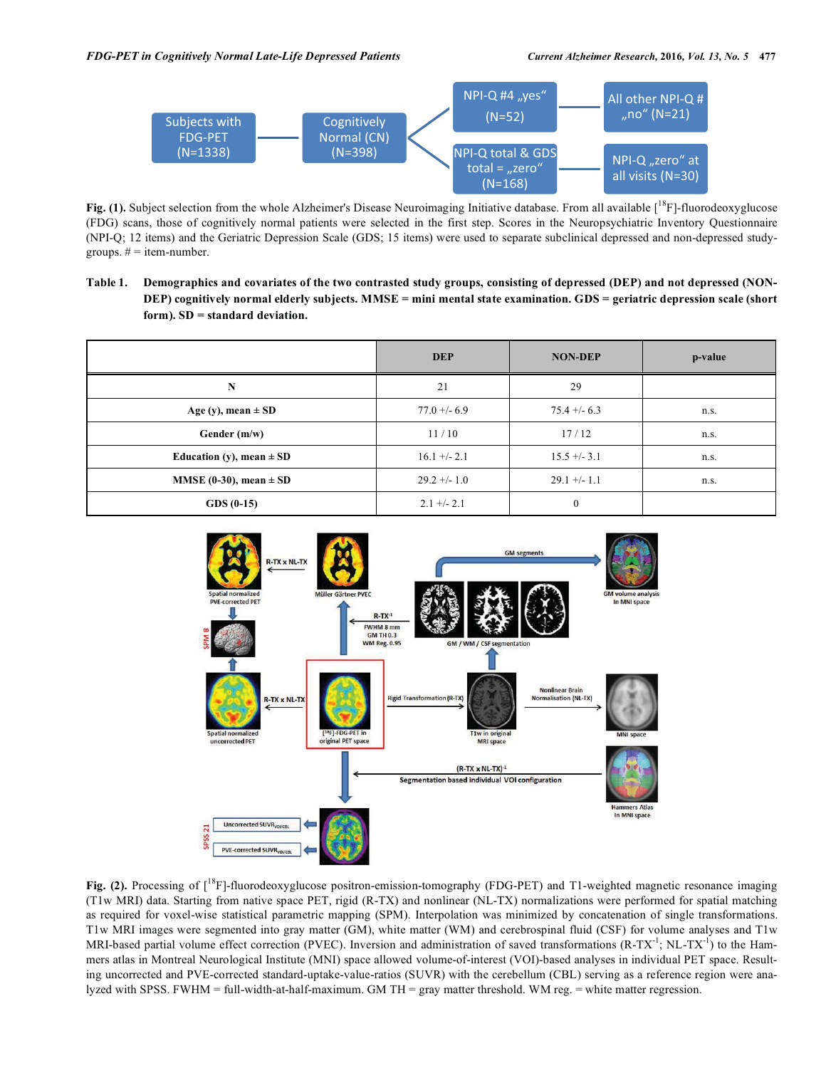

Fig. (1). Subject selection from the whole Alzheimer's Disease Neuroimaging Initiative database. From all available [<sup>18</sup>F]-fluorodeoxyglucose (FDG) scans, those of cognitively normal patients were selected in the first step. Scores in the Neuropsychiatric Inventory Questionnaire (NPI-Q; 12 items) and the Geriatric Depression Scale (GDS; 15 items) were used to separate subclinical depressed and non-depressed studygroups.  $# =$  item-number.

**Table 1. Demographics and covariates of the two contrasted study groups, consisting of depressed (DEP) and not depressed (NON-DEP) cognitively normal elderly subjects. MMSE = mini mental state examination. GDS = geriatric depression scale (short form). SD = standard deviation.** 

|                              | <b>DEP</b>     | <b>NON-DEP</b> | p-value |
|------------------------------|----------------|----------------|---------|
| N                            | 21             | 29             |         |
| Age (y), mean $\pm$ SD       | $77.0 + -6.9$  | $75.4 + -6.3$  | n.s.    |
| Gender $(m/w)$               | 11/10          | 17/12          | n.s.    |
| Education (y), mean $\pm$ SD | $16.1 + -2.1$  | $15.5 + -3.1$  | n.s.    |
| MMSE (0-30), mean $\pm$ SD   | $29.2 + - 1.0$ | $29.1 +/- 1.1$ | n.s.    |
| $GDS(0-15)$                  | $2.1 +/- 2.1$  | $\mathbf{0}$   |         |



Fig. (2). Processing of [<sup>18</sup>F]-fluorodeoxyglucose positron-emission-tomography (FDG-PET) and T1-weighted magnetic resonance imaging (T1w MRI) data. Starting from native space PET, rigid (R-TX) and nonlinear (NL-TX) normalizations were performed for spatial matching as required for voxel-wise statistical parametric mapping (SPM). Interpolation was minimized by concatenation of single transformations. T1w MRI images were segmented into gray matter (GM), white matter (WM) and cerebrospinal fluid (CSF) for volume analyses and T1w MRI-based partial volume effect correction (PVEC). Inversion and administration of saved transformations  $(R-TX^{-1}; NL-TX^{-1})$  to the Hammers atlas in Montreal Neurological Institute (MNI) space allowed volume-of-interest (VOI)-based analyses in individual PET space. Resulting uncorrected and PVE-corrected standard-uptake-value-ratios (SUVR) with the cerebellum (CBL) serving as a reference region were analyzed with SPSS. FWHM = full-width-at-half-maximum. GM TH = gray matter threshold. WM reg. = white matter regression.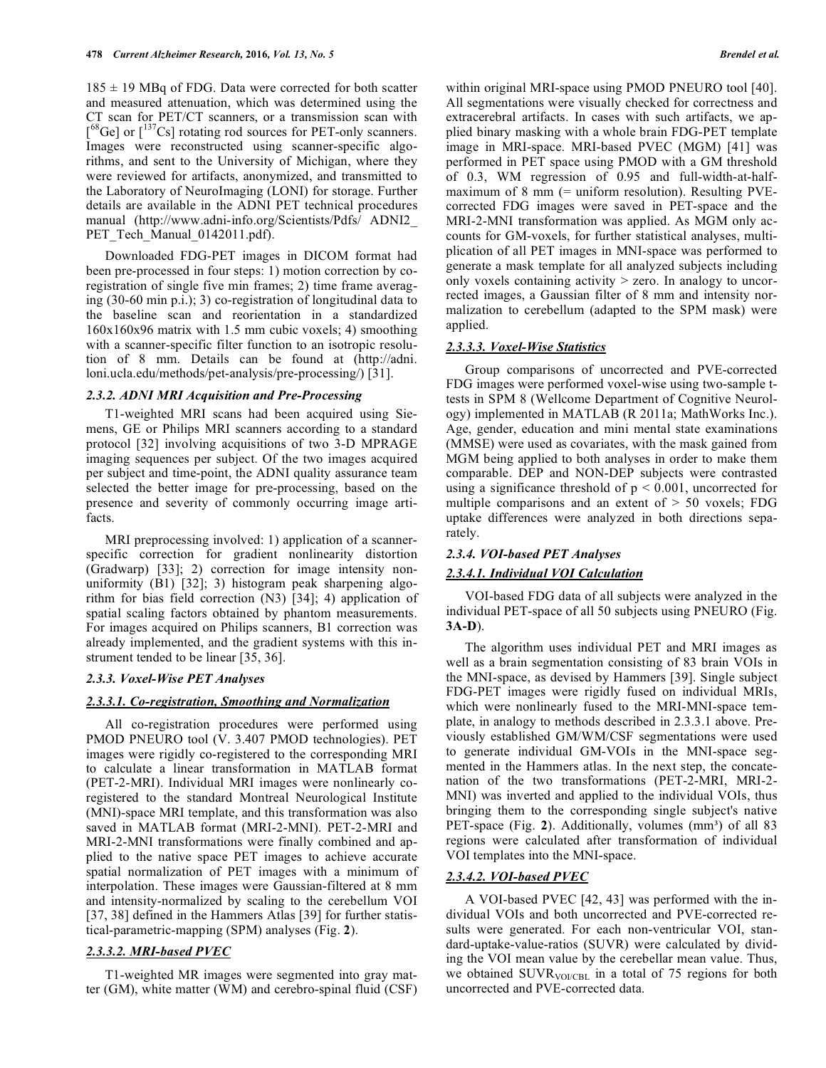$185 \pm 19$  MBq of FDG. Data were corrected for both scatter and measured attenuation, which was determined using the CT scan for PET/CT scanners, or a transmission scan with  $[$ <sup>68</sup>Ge] or  $[$ <sup>137</sup>Cs] rotating rod sources for PET-only scanners. Images were reconstructed using scanner-specific algorithms, and sent to the University of Michigan, where they were reviewed for artifacts, anonymized, and transmitted to the Laboratory of NeuroImaging (LONI) for storage. Further details are available in the ADNI PET technical procedures manual (http://www.adni-info.org/Scientists/Pdfs/ ADNI2\_ PET Tech Manual 0142011.pdf).

Downloaded FDG-PET images in DICOM format had been pre-processed in four steps: 1) motion correction by coregistration of single five min frames; 2) time frame averaging (30-60 min p.i.); 3) co-registration of longitudinal data to the baseline scan and reorientation in a standardized 160x160x96 matrix with 1.5 mm cubic voxels; 4) smoothing with a scanner-specific filter function to an isotropic resolution of 8 mm. Details can be found at (http://adni. loni.ucla.edu/methods/pet-analysis/pre-processing/) [31].

# *2.3.2. ADNI MRI Acquisition and Pre-Processing*

T1-weighted MRI scans had been acquired using Siemens, GE or Philips MRI scanners according to a standard protocol [32] involving acquisitions of two 3-D MPRAGE imaging sequences per subject. Of the two images acquired per subject and time-point, the ADNI quality assurance team selected the better image for pre-processing, based on the presence and severity of commonly occurring image artifacts.

MRI preprocessing involved: 1) application of a scannerspecific correction for gradient nonlinearity distortion (Gradwarp) [33]; 2) correction for image intensity nonuniformity (B1) [32]; 3) histogram peak sharpening algorithm for bias field correction (N3) [34]; 4) application of spatial scaling factors obtained by phantom measurements. For images acquired on Philips scanners, B1 correction was already implemented, and the gradient systems with this instrument tended to be linear [35, 36].

#### *2.3.3. Voxel-Wise PET Analyses*

#### *2.3.3.1. Co-registration, Smoothing and Normalization*

All co-registration procedures were performed using PMOD PNEURO tool (V. 3.407 PMOD technologies). PET images were rigidly co-registered to the corresponding MRI to calculate a linear transformation in MATLAB format (PET-2-MRI). Individual MRI images were nonlinearly coregistered to the standard Montreal Neurological Institute (MNI)-space MRI template, and this transformation was also saved in MATLAB format (MRI-2-MNI). PET-2-MRI and MRI-2-MNI transformations were finally combined and applied to the native space PET images to achieve accurate spatial normalization of PET images with a minimum of interpolation. These images were Gaussian-filtered at 8 mm and intensity-normalized by scaling to the cerebellum VOI [37, 38] defined in the Hammers Atlas [39] for further statistical-parametric-mapping (SPM) analyses (Fig. **2**).

# *2.3.3.2. MRI-based PVEC*

T1-weighted MR images were segmented into gray matter (GM), white matter (WM) and cerebro-spinal fluid (CSF) within original MRI-space using PMOD PNEURO tool [40]. All segmentations were visually checked for correctness and extracerebral artifacts. In cases with such artifacts, we applied binary masking with a whole brain FDG-PET template image in MRI-space. MRI-based PVEC (MGM) [41] was performed in PET space using PMOD with a GM threshold of 0.3, WM regression of 0.95 and full-width-at-halfmaximum of 8 mm (= uniform resolution). Resulting PVEcorrected FDG images were saved in PET-space and the MRI-2-MNI transformation was applied. As MGM only accounts for GM-voxels, for further statistical analyses, multiplication of all PET images in MNI-space was performed to generate a mask template for all analyzed subjects including only voxels containing activity > zero. In analogy to uncorrected images, a Gaussian filter of 8 mm and intensity normalization to cerebellum (adapted to the SPM mask) were applied.

# *2.3.3.3. Voxel-Wise Statistics*

Group comparisons of uncorrected and PVE-corrected FDG images were performed voxel-wise using two-sample ttests in SPM 8 (Wellcome Department of Cognitive Neurology) implemented in MATLAB (R 2011a; MathWorks Inc.). Age, gender, education and mini mental state examinations (MMSE) were used as covariates, with the mask gained from MGM being applied to both analyses in order to make them comparable. DEP and NON-DEP subjects were contrasted using a significance threshold of  $p < 0.001$ , uncorrected for multiple comparisons and an extent of > 50 voxels; FDG uptake differences were analyzed in both directions separately.

# *2.3.4. VOI-based PET Analyses*

# *2.3.4.1. Individual VOI Calculation*

VOI-based FDG data of all subjects were analyzed in the individual PET-space of all 50 subjects using PNEURO (Fig. **3A-D**).

The algorithm uses individual PET and MRI images as well as a brain segmentation consisting of 83 brain VOIs in the MNI-space, as devised by Hammers [39]. Single subject FDG-PET images were rigidly fused on individual MRIs, which were nonlinearly fused to the MRI-MNI-space template, in analogy to methods described in 2.3.3.1 above. Previously established GM/WM/CSF segmentations were used to generate individual GM-VOIs in the MNI-space segmented in the Hammers atlas. In the next step, the concatenation of the two transformations (PET-2-MRI, MRI-2- MNI) was inverted and applied to the individual VOIs, thus bringing them to the corresponding single subject's native PET-space (Fig. 2). Additionally, volumes (mm<sup>3</sup>) of all 83 regions were calculated after transformation of individual VOI templates into the MNI-space.

# *2.3.4.2. VOI-based PVEC*

A VOI-based PVEC [42, 43] was performed with the individual VOIs and both uncorrected and PVE-corrected results were generated. For each non-ventricular VOI, standard-uptake-value-ratios (SUVR) were calculated by dividing the VOI mean value by the cerebellar mean value. Thus, we obtained  $\text{SUVR}_{\text{VOICBL}}$  in a total of 75 regions for both uncorrected and PVE-corrected data.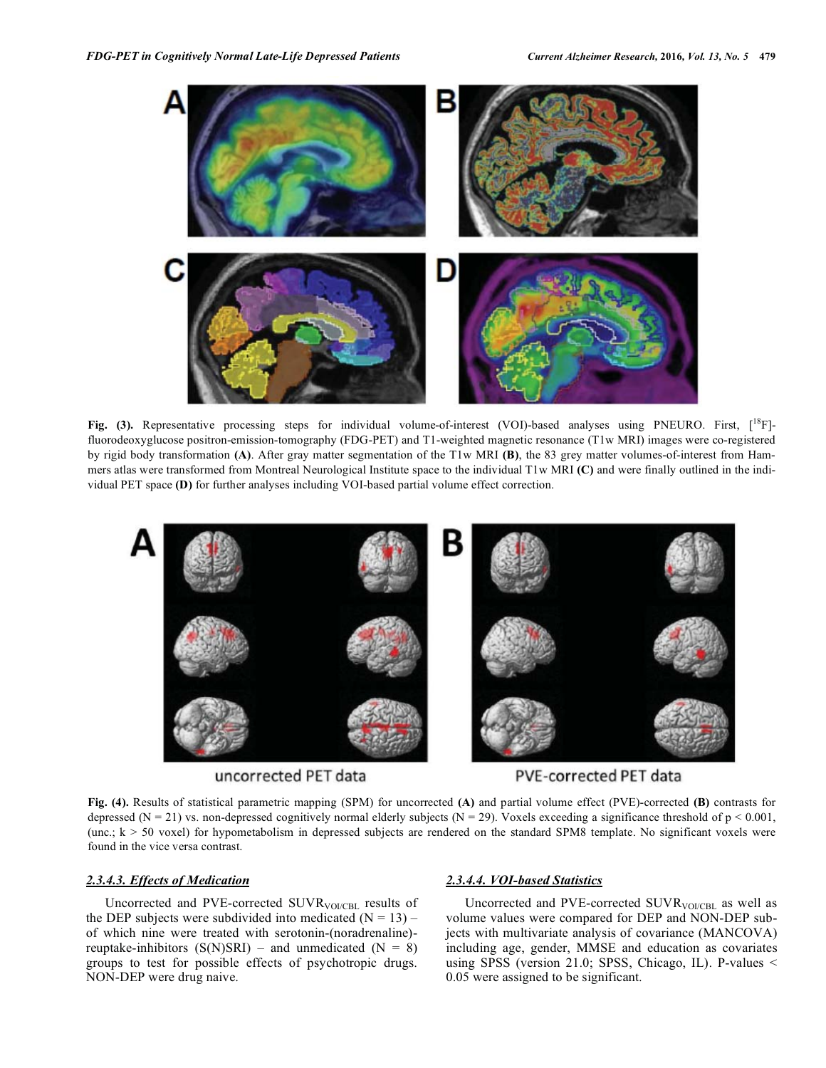

**Fig. (3).** Representative processing steps for individual volume-of-interest (VOI)-based analyses using PNEURO. First, [<sup>18</sup>F]fluorodeoxyglucose positron-emission-tomography (FDG-PET) and T1-weighted magnetic resonance (T1w MRI) images were co-registered by rigid body transformation **(A)**. After gray matter segmentation of the T1w MRI **(B)**, the 83 grey matter volumes-of-interest from Hammers atlas were transformed from Montreal Neurological Institute space to the individual T1w MRI **(C)** and were finally outlined in the individual PET space **(D)** for further analyses including VOI-based partial volume effect correction.



**Fig. (4).** Results of statistical parametric mapping (SPM) for uncorrected **(A)** and partial volume effect (PVE)-corrected **(B)** contrasts for depressed (N = 21) vs. non-depressed cognitively normal elderly subjects (N = 29). Voxels exceeding a significance threshold of  $p < 0.001$ , (unc.; k > 50 voxel) for hypometabolism in depressed subjects are rendered on the standard SPM8 template. No significant voxels were found in the vice versa contrast.

# *2.3.4.3. Effects of Medication*

Uncorrected and PVE-corrected SUVR<sub>VOI/CBL</sub> results of the DEP subjects were subdivided into medicated  $(N = 13)$  – of which nine were treated with serotonin-(noradrenaline) reuptake-inhibitors  $(S(N)SRI)$  – and unmedicated  $(N = 8)$ groups to test for possible effects of psychotropic drugs. NON-DEP were drug naive.

# *2.3.4.4. VOI-based Statistics*

Uncorrected and PVE-corrected SUVR<sub>VOI/CBL</sub> as well as volume values were compared for DEP and NON-DEP subjects with multivariate analysis of covariance (MANCOVA) including age, gender, MMSE and education as covariates using SPSS (version 21.0; SPSS, Chicago, IL). P-values < 0.05 were assigned to be significant.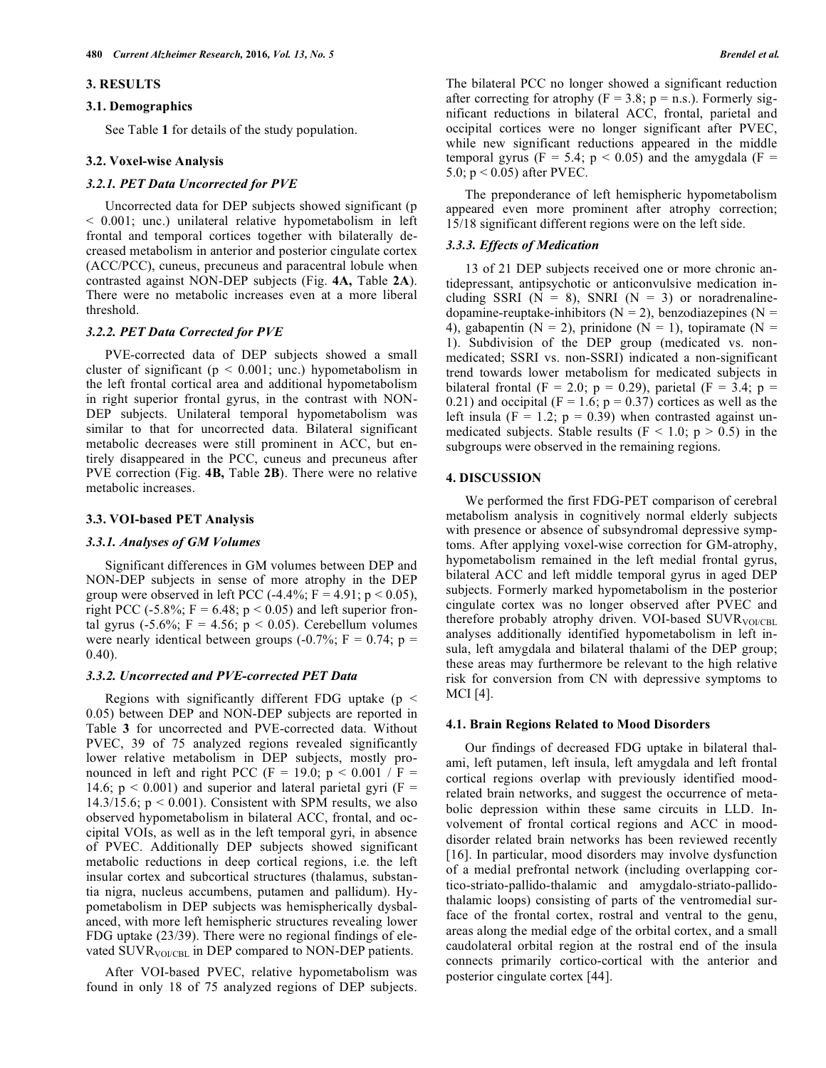#### **3. RESULTS**

#### **3.1. Demographics**

See Table **1** for details of the study population.

#### **3.2. Voxel-wise Analysis**

# *3.2.1. PET Data Uncorrected for PVE*

Uncorrected data for DEP subjects showed significant (p < 0.001; unc.) unilateral relative hypometabolism in left frontal and temporal cortices together with bilaterally decreased metabolism in anterior and posterior cingulate cortex (ACC/PCC), cuneus, precuneus and paracentral lobule when contrasted against NON-DEP subjects (Fig. **4A,** Table **2A**). There were no metabolic increases even at a more liberal threshold.

# *3.2.2. PET Data Corrected for PVE*

PVE-corrected data of DEP subjects showed a small cluster of significant ( $p < 0.001$ ; unc.) hypometabolism in the left frontal cortical area and additional hypometabolism in right superior frontal gyrus, in the contrast with NON-DEP subjects. Unilateral temporal hypometabolism was similar to that for uncorrected data. Bilateral significant metabolic decreases were still prominent in ACC, but entirely disappeared in the PCC, cuneus and precuneus after PVE correction (Fig. **4B,** Table **2B**). There were no relative metabolic increases.

# **3.3. VOI-based PET Analysis**

# *3.3.1. Analyses of GM Volumes*

Significant differences in GM volumes between DEP and NON-DEP subjects in sense of more atrophy in the DEP group were observed in left PCC  $(-4.4\%;$  F = 4.91; p < 0.05), right PCC (-5.8%;  $F = 6.48$ ;  $p < 0.05$ ) and left superior frontal gyrus (-5.6%; F = 4.56; p < 0.05). Cerebellum volumes were nearly identical between groups  $(-0.7\%; F = 0.74; p =$ 0.40).

# *3.3.2. Uncorrected and PVE-corrected PET Data*

Regions with significantly different FDG uptake ( $p <$ 0.05) between DEP and NON-DEP subjects are reported in Table **3** for uncorrected and PVE-corrected data. Without PVEC, 39 of 75 analyzed regions revealed significantly lower relative metabolism in DEP subjects, mostly pronounced in left and right PCC (F = 19.0;  $p < 0.001 / F$  = 14.6;  $p < 0.001$ ) and superior and lateral parietal gyri (F = 14.3/15.6;  $p < 0.001$ ). Consistent with SPM results, we also observed hypometabolism in bilateral ACC, frontal, and occipital VOIs, as well as in the left temporal gyri, in absence of PVEC. Additionally DEP subjects showed significant metabolic reductions in deep cortical regions, i.e. the left insular cortex and subcortical structures (thalamus, substantia nigra, nucleus accumbens, putamen and pallidum). Hypometabolism in DEP subjects was hemispherically dysbalanced, with more left hemispheric structures revealing lower FDG uptake (23/39). There were no regional findings of elevated SUVR<sub>VOI/CBL</sub> in DEP compared to NON-DEP patients.

After VOI-based PVEC, relative hypometabolism was found in only 18 of 75 analyzed regions of DEP subjects. The bilateral PCC no longer showed a significant reduction after correcting for atrophy  $(F = 3.8; p = n.s.)$ . Formerly significant reductions in bilateral ACC, frontal, parietal and occipital cortices were no longer significant after PVEC, while new significant reductions appeared in the middle temporal gyrus (F = 5.4;  $p < 0.05$ ) and the amygdala (F = 5.0; p < 0.05) after PVEC.

The preponderance of left hemispheric hypometabolism appeared even more prominent after atrophy correction; 15/18 significant different regions were on the left side.

# *3.3.3. Effects of Medication*

13 of 21 DEP subjects received one or more chronic antidepressant, antipsychotic or anticonvulsive medication including SSRI ( $N = 8$ ), SNRI ( $N = 3$ ) or noradrenalinedopamine-reuptake-inhibitors ( $N = 2$ ), benzodiazepines ( $N =$ 4), gabapentin (N = 2), prinidone (N = 1), topiramate (N = 1). Subdivision of the DEP group (medicated vs. nonmedicated; SSRI vs. non-SSRI) indicated a non-significant trend towards lower metabolism for medicated subjects in bilateral frontal (F = 2.0; p = 0.29), parietal (F = 3.4; p = 0.21) and occipital ( $F = 1.6$ ;  $p = 0.37$ ) cortices as well as the left insula ( $F = 1.2$ ;  $p = 0.39$ ) when contrasted against unmedicated subjects. Stable results ( $F < 1.0$ ;  $p > 0.5$ ) in the subgroups were observed in the remaining regions.

# **4. DISCUSSION**

We performed the first FDG-PET comparison of cerebral metabolism analysis in cognitively normal elderly subjects with presence or absence of subsyndromal depressive symptoms. After applying voxel-wise correction for GM-atrophy, hypometabolism remained in the left medial frontal gyrus, bilateral ACC and left middle temporal gyrus in aged DEP subjects. Formerly marked hypometabolism in the posterior cingulate cortex was no longer observed after PVEC and therefore probably atrophy driven. VOI-based  $\text{SUVR}_{\text{VOLCRL}}$ analyses additionally identified hypometabolism in left insula, left amygdala and bilateral thalami of the DEP group; these areas may furthermore be relevant to the high relative risk for conversion from CN with depressive symptoms to MCI [4].

# **4.1. Brain Regions Related to Mood Disorders**

Our findings of decreased FDG uptake in bilateral thalami, left putamen, left insula, left amygdala and left frontal cortical regions overlap with previously identified moodrelated brain networks, and suggest the occurrence of metabolic depression within these same circuits in LLD. Involvement of frontal cortical regions and ACC in mooddisorder related brain networks has been reviewed recently [16]. In particular, mood disorders may involve dysfunction of a medial prefrontal network (including overlapping cortico-striato-pallido-thalamic and amygdalo-striato-pallidothalamic loops) consisting of parts of the ventromedial surface of the frontal cortex, rostral and ventral to the genu, areas along the medial edge of the orbital cortex, and a small caudolateral orbital region at the rostral end of the insula connects primarily cortico-cortical with the anterior and posterior cingulate cortex [44].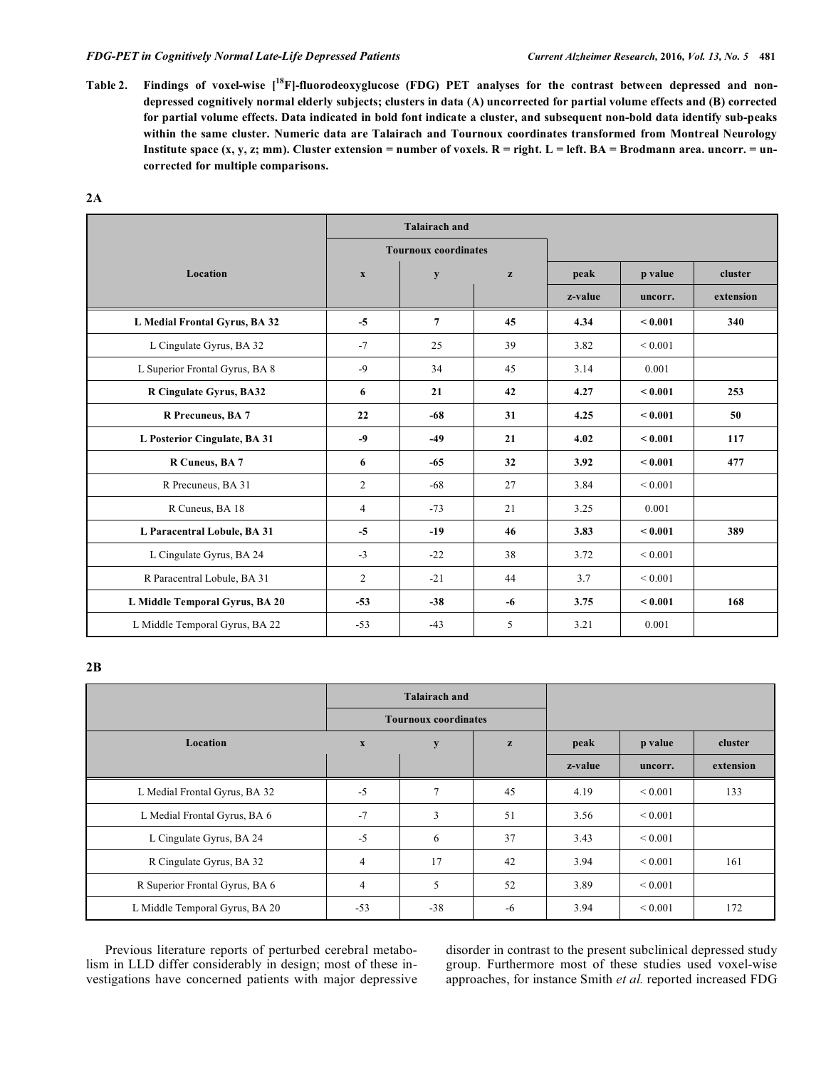## *FDG-PET in Cognitively Normal Late-Life Depressed Patients Current Alzheimer Research,* **2016***, Vol. 13, No. 5* **481**

Table 2. Findings of voxel-wise [<sup>18</sup>F]-fluorodeoxyglucose (FDG) PET analyses for the contrast between depressed and non**depressed cognitively normal elderly subjects; clusters in data (A) uncorrected for partial volume effects and (B) corrected for partial volume effects. Data indicated in bold font indicate a cluster, and subsequent non-bold data identify sub-peaks within the same cluster. Numeric data are Talairach and Tournoux coordinates transformed from Montreal Neurology**  Institute space (x, y, z; mm). Cluster extension = number of voxels. R = right. L = left. BA = Brodmann area. uncorr. = un**corrected for multiple comparisons.** 

|                                |                             | <b>Talairach and</b> |      |         |               |           |
|--------------------------------|-----------------------------|----------------------|------|---------|---------------|-----------|
|                                | <b>Tournoux coordinates</b> |                      |      |         |               |           |
| Location                       | $\mathbf{X}$                | y                    | z    | peak    | p value       | cluster   |
|                                |                             |                      |      | z-value | uncorr.       | extension |
| L Medial Frontal Gyrus, BA 32  | $-5$                        | $\overline{7}$       | 45   | 4.34    | < 0.001       | 340       |
| L Cingulate Gyrus, BA 32       | $-7$                        | 25                   | 39   | 3.82    | ${}< 0.001$   |           |
| L Superior Frontal Gyrus, BA 8 | $-9$                        | 34                   | 45   | 3.14    | 0.001         |           |
| R Cingulate Gyrus, BA32        | 6                           | 21                   | 42   | 4.27    | < 0.001       | 253       |
| R Precuneus, BA 7              | 22                          | $-68$                | 31   | 4.25    | < 0.001       | 50        |
| L Posterior Cingulate, BA 31   | $-9$                        | $-49$                | 21   | 4.02    | ${}_{0.001}$  | 117       |
| R Cuneus, BA 7                 | 6                           | $-65$                | 32   | 3.92    | ${}_{<0.001}$ | 477       |
| R Precuneus, BA 31             | $\overline{2}$              | $-68$                | 27   | 3.84    | ${}_{0.001}$  |           |
| R Cuneus, BA 18                | 4                           | $-73$                | 21   | 3.25    | 0.001         |           |
| L Paracentral Lobule, BA 31    | $-5$                        | $-19$                | 46   | 3.83    | < 0.001       | 389       |
| L Cingulate Gyrus, BA 24       | $-3$                        | $-22$                | 38   | 3.72    | ${}_{0.001}$  |           |
| R Paracentral Lobule, BA 31    | $\overline{2}$              | $-21$                | 44   | 3.7     | ${}_{0.001}$  |           |
| L Middle Temporal Gyrus, BA 20 | $-53$                       | $-38$                | $-6$ | 3.75    | < 0.001       | 168       |
| L Middle Temporal Gyrus, BA 22 | $-53$                       | $-43$                | 5    | 3.21    | 0.001         |           |

**2B** 

|                                |                           | <b>Talairach and</b>        |              |         |                   |           |
|--------------------------------|---------------------------|-----------------------------|--------------|---------|-------------------|-----------|
|                                |                           | <b>Tournoux coordinates</b> |              |         |                   |           |
| Location                       | $\boldsymbol{\mathrm{X}}$ | y                           | $\mathbf{z}$ | peak    | p value           | cluster   |
|                                |                           |                             |              | z-value | uncorr.           | extension |
| L Medial Frontal Gyrus, BA 32  | $-5$                      | 7                           | 45           | 4.19    | ${}_{0.001}$      | 133       |
| L Medial Frontal Gyrus, BA 6   | $-7$                      | 3                           | 51           | 3.56    | ${}_{\leq 0.001}$ |           |
| L Cingulate Gyrus, BA 24       | $-5$                      | 6                           | 37           | 3.43    | ${}_{0.001}$      |           |
| R Cingulate Gyrus, BA 32       | $\overline{4}$            | 17                          | 42           | 3.94    | ${}_{0.001}$      | 161       |
| R Superior Frontal Gyrus, BA 6 | $\overline{4}$            | 5                           | 52           | 3.89    | ${}_{0.001}$      |           |
| L Middle Temporal Gyrus, BA 20 | $-53$                     | $-38$                       | -6           | 3.94    | ${}_{0.001}$      | 172       |

Previous literature reports of perturbed cerebral metabolism in LLD differ considerably in design; most of these investigations have concerned patients with major depressive disorder in contrast to the present subclinical depressed study group. Furthermore most of these studies used voxel-wise approaches, for instance Smith *et al.* reported increased FDG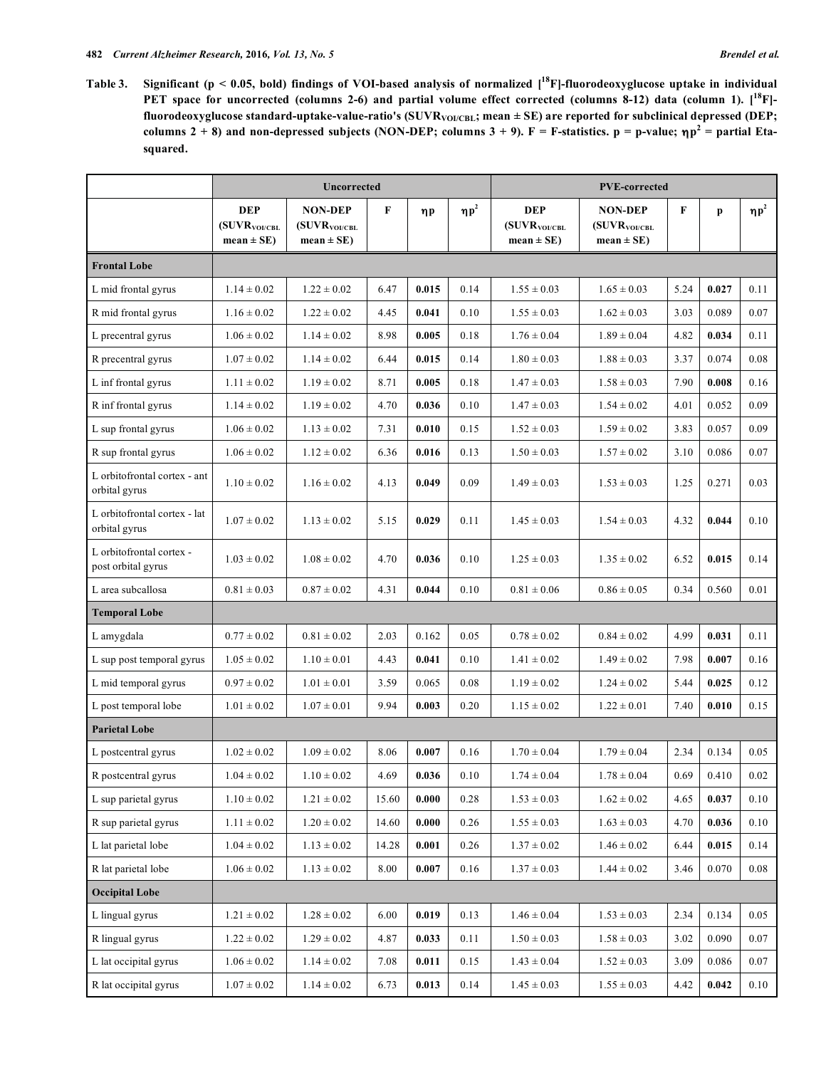**Table 3. Significant (p < 0.05, bold) findings of VOI-based analysis of normalized [18F]-fluorodeoxyglucose uptake in individual PET space for uncorrected (columns 2-6) and partial volume effect corrected (columns 8-12) data (column 1). [18F]** fluorodeoxyglucose standard-uptake-value-ratio's (SUVR<sub>VOI/CBL</sub>; mean ± SE) are reported for subclinical depressed (DEP; **columns 2 + 8) and non-depressed subjects (NON-DEP; columns 3 + 9).**  $F = F$ **-statistics. p = p-value;**  $ηp^2 =$  **partial Etasquared.** 

|                                                | <b>Uncorrected</b>                                 |                                                         |             |          |            | <b>PVE-corrected</b>                                      |                                                        |      |           |            |
|------------------------------------------------|----------------------------------------------------|---------------------------------------------------------|-------------|----------|------------|-----------------------------------------------------------|--------------------------------------------------------|------|-----------|------------|
|                                                | <b>DEP</b><br>$(SUVR_{VOICBL})$<br>$mean \pm SE$ ) | <b>NON-DEP</b><br>$(SUVR_{VOI/CELL}$<br>$mean \pm SE$ ) | $\mathbf F$ | $\eta p$ | $\eta p^2$ | <b>DEP</b><br>(SUVR <sub>VOI/CBL</sub><br>$mean \pm SE$ ) | <b>NON-DEP</b><br>$(SUVR_{VOICBL})$<br>$mean \pm SE$ ) | F    | p         | $\eta p^2$ |
| <b>Frontal Lobe</b>                            |                                                    |                                                         |             |          |            |                                                           |                                                        |      |           |            |
| L mid frontal gyrus                            | $1.14 \pm 0.02$                                    | $1.22 \pm 0.02$                                         | 6.47        | 0.015    | 0.14       | $1.55 \pm 0.03$                                           | $1.65 \pm 0.03$                                        | 5.24 | 0.027     | 0.11       |
| R mid frontal gyrus                            | $1.16 \pm 0.02$                                    | $1.22 \pm 0.02$                                         | 4.45        | 0.041    | 0.10       | $1.55 \pm 0.03$                                           | $1.62 \pm 0.03$                                        | 3.03 | 0.089     | 0.07       |
| L precentral gyrus                             | $1.06 \pm 0.02$                                    | $1.14 \pm 0.02$                                         | 8.98        | 0.005    | 0.18       | $1.76 \pm 0.04$                                           | $1.89 \pm 0.04$                                        | 4.82 | 0.034     | 0.11       |
| R precentral gyrus                             | $1.07 \pm 0.02$                                    | $1.14 \pm 0.02$                                         | 6.44        | 0.015    | 0.14       | $1.80 \pm 0.03$                                           | $1.88 \pm 0.03$                                        | 3.37 | 0.074     | 0.08       |
| L inf frontal gyrus                            | $1.11 \pm 0.02$                                    | $1.19 \pm 0.02$                                         | 8.71        | 0.005    | 0.18       | $1.47 \pm 0.03$                                           | $1.58 \pm 0.03$                                        | 7.90 | 0.008     | 0.16       |
| R inf frontal gyrus                            | $1.14 \pm 0.02$                                    | $1.19 \pm 0.02$                                         | 4.70        | 0.036    | 0.10       | $1.47 \pm 0.03$                                           | $1.54 \pm 0.02$                                        | 4.01 | 0.052     | 0.09       |
| L sup frontal gyrus                            | $1.06 \pm 0.02$                                    | $1.13 \pm 0.02$                                         | 7.31        | 0.010    | 0.15       | $1.52 \pm 0.03$                                           | $1.59 \pm 0.02$                                        | 3.83 | 0.057     | 0.09       |
| R sup frontal gyrus                            | $1.06 \pm 0.02$                                    | $1.12 \pm 0.02$                                         | 6.36        | 0.016    | 0.13       | $1.50 \pm 0.03$                                           | $1.57 \pm 0.02$                                        | 3.10 | 0.086     | 0.07       |
| L orbitofrontal cortex - ant<br>orbital gyrus  | $1.10 \pm 0.02$                                    | $1.16 \pm 0.02$                                         | 4.13        | 0.049    | 0.09       | $1.49 \pm 0.03$                                           | $1.53 \pm 0.03$                                        | 1.25 | 0.271     | 0.03       |
| L orbitofrontal cortex - lat<br>orbital gyrus  | $1.07 \pm 0.02$                                    | $1.13 \pm 0.02$                                         | 5.15        | 0.029    | 0.11       | $1.45 \pm 0.03$                                           | $1.54 \pm 0.03$                                        | 4.32 | 0.044     | 0.10       |
| L orbitofrontal cortex -<br>post orbital gyrus | $1.03 \pm 0.02$                                    | $1.08 \pm 0.02$                                         | 4.70        | 0.036    | 0.10       | $1.25 \pm 0.03$                                           | $1.35 \pm 0.02$                                        | 6.52 | 0.015     | 0.14       |
| L area subcallosa                              | $0.81 \pm 0.03$                                    | $0.87 \pm 0.02$                                         | 4.31        | 0.044    | 0.10       | $0.81 \pm 0.06$                                           | $0.86 \pm 0.05$                                        | 0.34 | 0.560     | 0.01       |
| <b>Temporal Lobe</b>                           |                                                    |                                                         |             |          |            |                                                           |                                                        |      |           |            |
| L amygdala                                     | $0.77 \pm 0.02$                                    | $0.81 \pm 0.02$                                         | 2.03        | 0.162    | 0.05       | $0.78 \pm 0.02$                                           | $0.84 \pm 0.02$                                        | 4.99 | 0.031     | 0.11       |
| L sup post temporal gyrus                      | $1.05 \pm 0.02$                                    | $1.10 \pm 0.01$                                         | 4.43        | 0.041    | 0.10       | $1.41 \pm 0.02$                                           | $1.49 \pm 0.02$                                        | 7.98 | 0.007     | 0.16       |
| L mid temporal gyrus                           | $0.97 \pm 0.02$                                    | $1.01 \pm 0.01$                                         | 3.59        | 0.065    | 0.08       | $1.19 \pm 0.02$                                           | $1.24 \pm 0.02$                                        | 5.44 | 0.025     | 0.12       |
| L post temporal lobe                           | $1.01 \pm 0.02$                                    | $1.07 \pm 0.01$                                         | 9.94        | 0.003    | 0.20       | $1.15 \pm 0.02$                                           | $1.22 \pm 0.01$                                        | 7.40 | 0.010     | 0.15       |
| <b>Parietal Lobe</b>                           |                                                    |                                                         |             |          |            |                                                           |                                                        |      |           |            |
| L postcentral gyrus                            | $1.02 \pm 0.02$                                    | $1.09 \pm 0.02$                                         | 8.06        | 0.007    | 0.16       | $1.70 \pm 0.04$                                           | $1.79 \pm 0.04$                                        | 2.34 | 0.134     | 0.05       |
| R postcentral gyrus                            | $1.04\pm0.02$                                      | $1.10\pm0.02$                                           | 4.69        | 0.036    | $0.10\,$   | $1.74\pm0.04$                                             | $1.78\pm0.04$                                          | 0.69 | $0.410\,$ | $0.02\,$   |
| L sup parietal gyrus                           | $1.10 \pm 0.02$                                    | $1.21 \pm 0.02$                                         | 15.60       | 0.000    | 0.28       | $1.53 \pm 0.03$                                           | $1.62 \pm 0.02$                                        | 4.65 | 0.037     | 0.10       |
| R sup parietal gyrus                           | $1.11 \pm 0.02$                                    | $1.20 \pm 0.02$                                         | 14.60       | 0.000    | 0.26       | $1.55 \pm 0.03$                                           | $1.63 \pm 0.03$                                        | 4.70 | 0.036     | 0.10       |
| L lat parietal lobe                            | $1.04 \pm 0.02$                                    | $1.13\pm0.02$                                           | 14.28       | 0.001    | 0.26       | $1.37\pm0.02$                                             | $1.46\pm0.02$                                          | 6.44 | 0.015     | 0.14       |
| R lat parietal lobe                            | $1.06 \pm 0.02$                                    | $1.13 \pm 0.02$                                         | 8.00        | 0.007    | 0.16       | $1.37 \pm 0.03$                                           | $1.44 \pm 0.02$                                        | 3.46 | 0.070     | 0.08       |
| <b>Occipital Lobe</b>                          |                                                    |                                                         |             |          |            |                                                           |                                                        |      |           |            |
| L lingual gyrus                                | $1.21 \pm 0.02$                                    | $1.28\pm0.02$                                           | 6.00        | 0.019    | 0.13       | $1.46\pm0.04$                                             | $1.53\pm0.03$                                          | 2.34 | 0.134     | 0.05       |
| R lingual gyrus                                | $1.22 \pm 0.02$                                    | $1.29\pm0.02$                                           | 4.87        | 0.033    | 0.11       | $1.50\pm0.03$                                             | $1.58 \pm 0.03$                                        | 3.02 | 0.090     | 0.07       |
| L lat occipital gyrus                          | $1.06 \pm 0.02$                                    | $1.14 \pm 0.02$                                         | 7.08        | 0.011    | 0.15       | $1.43 \pm 0.04$                                           | $1.52 \pm 0.03$                                        | 3.09 | 0.086     | 0.07       |
| R lat occipital gyrus                          | $1.07 \pm 0.02$                                    | $1.14 \pm 0.02$                                         | 6.73        | 0.013    | 0.14       | $1.45\pm0.03$                                             | $1.55 \pm 0.03$                                        | 4.42 | 0.042     | 0.10       |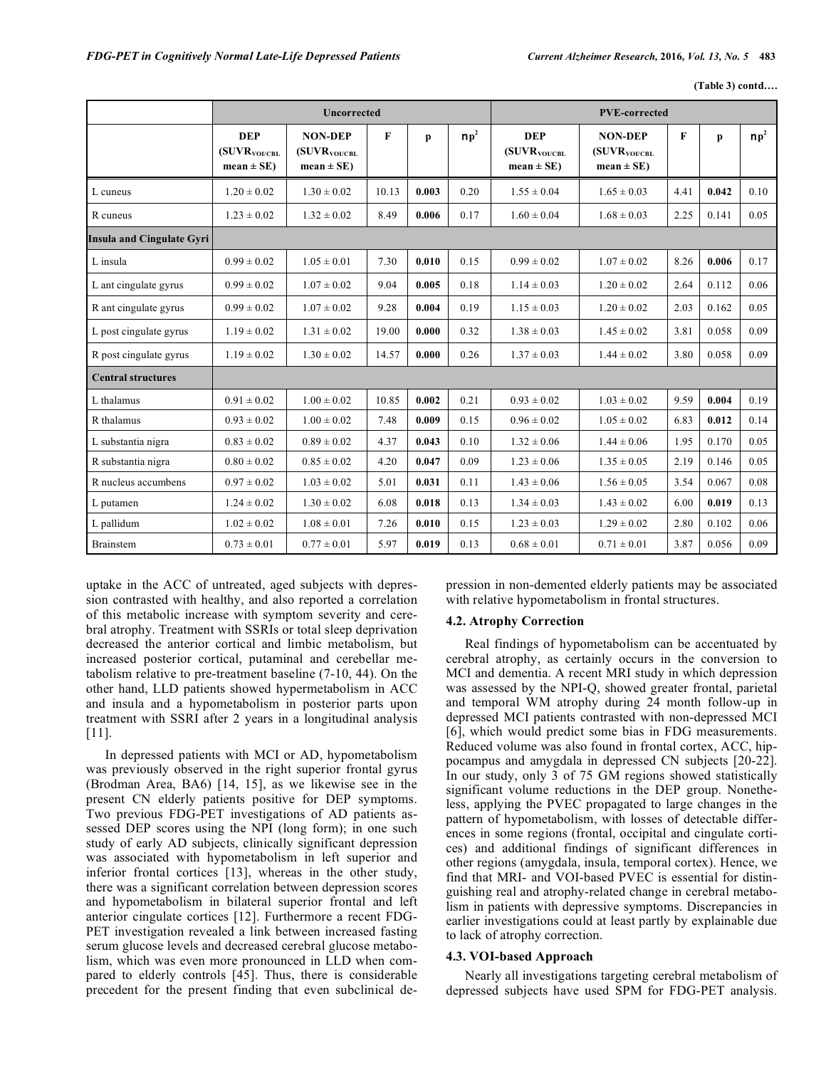**(Table 3) contd….** 

|                                  |                                                    | <b>Uncorrected</b>                                            | <b>PVE-corrected</b> |       |        |                                                           |                                                               |      |       |        |
|----------------------------------|----------------------------------------------------|---------------------------------------------------------------|----------------------|-------|--------|-----------------------------------------------------------|---------------------------------------------------------------|------|-------|--------|
|                                  | <b>DEP</b><br>$(SUVR_{VOI/CHL}$<br>$mean \pm SE$ ) | <b>NON-DEP</b><br>(SUVR <sub>VOI/CBL</sub><br>$mean \pm SE$ ) | F                    | p     | $np^2$ | <b>DEP</b><br>(SUVR <sub>VOI/CBL</sub><br>$mean \pm SE$ ) | <b>NON-DEP</b><br>(SUVR <sub>VOI/CBL</sub><br>$mean \pm SE$ ) | F    | p     | $np^2$ |
| L cuneus                         | $1.20 \pm 0.02$                                    | $1.30 \pm 0.02$                                               | 10.13                | 0.003 | 0.20   | $1.55 \pm 0.04$                                           | $1.65 \pm 0.03$                                               | 4.41 | 0.042 | 0.10   |
| R cuneus                         | $1.23 \pm 0.02$                                    | $1.32 \pm 0.02$                                               | 8.49                 | 0.006 | 0.17   | $1.60 \pm 0.04$                                           | $1.68 \pm 0.03$                                               | 2.25 | 0.141 | 0.05   |
| <b>Insula and Cingulate Gyri</b> |                                                    |                                                               |                      |       |        |                                                           |                                                               |      |       |        |
| L insula                         | $0.99 \pm 0.02$                                    | $1.05 \pm 0.01$                                               | 7.30                 | 0.010 | 0.15   | $0.99 \pm 0.02$                                           | $1.07 \pm 0.02$                                               | 8.26 | 0.006 | 0.17   |
| L ant cingulate gyrus            | $0.99 \pm 0.02$                                    | $1.07 \pm 0.02$                                               | 9.04                 | 0.005 | 0.18   | $1.14 \pm 0.03$                                           | $1.20 \pm 0.02$                                               | 2.64 | 0.112 | 0.06   |
| R ant cingulate gyrus            | $0.99 \pm 0.02$                                    | $1.07 \pm 0.02$                                               | 9.28                 | 0.004 | 0.19   | $1.15 \pm 0.03$                                           | $1.20 \pm 0.02$                                               | 2.03 | 0.162 | 0.05   |
| L post cingulate gyrus           | $1.19 \pm 0.02$                                    | $1.31 \pm 0.02$                                               | 19.00                | 0.000 | 0.32   | $1.38 \pm 0.03$                                           | $1.45 \pm 0.02$                                               | 3.81 | 0.058 | 0.09   |
| R post cingulate gyrus           | $1.19 \pm 0.02$                                    | $1.30 \pm 0.02$                                               | 14.57                | 0.000 | 0.26   | $1.37 \pm 0.03$                                           | $1.44 \pm 0.02$                                               | 3.80 | 0.058 | 0.09   |
| <b>Central structures</b>        |                                                    |                                                               |                      |       |        |                                                           |                                                               |      |       |        |
| L thalamus                       | $0.91 \pm 0.02$                                    | $1.00 \pm 0.02$                                               | 10.85                | 0.002 | 0.21   | $0.93 \pm 0.02$                                           | $1.03 \pm 0.02$                                               | 9.59 | 0.004 | 0.19   |
| R thalamus                       | $0.93 \pm 0.02$                                    | $1.00 \pm 0.02$                                               | 7.48                 | 0.009 | 0.15   | $0.96 \pm 0.02$                                           | $1.05 \pm 0.02$                                               | 6.83 | 0.012 | 0.14   |
| L substantia nigra               | $0.83 \pm 0.02$                                    | $0.89 \pm 0.02$                                               | 4.37                 | 0.043 | 0.10   | $1.32 \pm 0.06$                                           | $1.44 \pm 0.06$                                               | 1.95 | 0.170 | 0.05   |
| R substantia nigra               | $0.80 \pm 0.02$                                    | $0.85 \pm 0.02$                                               | 4.20                 | 0.047 | 0.09   | $1.23 \pm 0.06$                                           | $1.35 \pm 0.05$                                               | 2.19 | 0.146 | 0.05   |
| R nucleus accumbens              | $0.97 \pm 0.02$                                    | $1.03 \pm 0.02$                                               | 5.01                 | 0.031 | 0.11   | $1.43 \pm 0.06$                                           | $1.56 \pm 0.05$                                               | 3.54 | 0.067 | 0.08   |
| L putamen                        | $1.24 \pm 0.02$                                    | $1.30 \pm 0.02$                                               | 6.08                 | 0.018 | 0.13   | $1.34 \pm 0.03$                                           | $1.43 \pm 0.02$                                               | 6.00 | 0.019 | 0.13   |
| L pallidum                       | $1.02 \pm 0.02$                                    | $1.08 \pm 0.01$                                               | 7.26                 | 0.010 | 0.15   | $1.23 \pm 0.03$                                           | $1.29 \pm 0.02$                                               | 2.80 | 0.102 | 0.06   |
| <b>Brainstem</b>                 | $0.73 \pm 0.01$                                    | $0.77 \pm 0.01$                                               | 5.97                 | 0.019 | 0.13   | $0.68 \pm 0.01$                                           | $0.71 \pm 0.01$                                               | 3.87 | 0.056 | 0.09   |

uptake in the ACC of untreated, aged subjects with depression contrasted with healthy, and also reported a correlation of this metabolic increase with symptom severity and cerebral atrophy. Treatment with SSRIs or total sleep deprivation decreased the anterior cortical and limbic metabolism, but increased posterior cortical, putaminal and cerebellar metabolism relative to pre-treatment baseline (7-10, 44). On the other hand, LLD patients showed hypermetabolism in ACC and insula and a hypometabolism in posterior parts upon treatment with SSRI after 2 years in a longitudinal analysis [11].

In depressed patients with MCI or AD, hypometabolism was previously observed in the right superior frontal gyrus (Brodman Area, BA6) [14, 15], as we likewise see in the present CN elderly patients positive for DEP symptoms. Two previous FDG-PET investigations of AD patients assessed DEP scores using the NPI (long form); in one such study of early AD subjects, clinically significant depression was associated with hypometabolism in left superior and inferior frontal cortices [13], whereas in the other study, there was a significant correlation between depression scores and hypometabolism in bilateral superior frontal and left anterior cingulate cortices [12]. Furthermore a recent FDG-PET investigation revealed a link between increased fasting serum glucose levels and decreased cerebral glucose metabolism, which was even more pronounced in LLD when compared to elderly controls [45]. Thus, there is considerable precedent for the present finding that even subclinical depression in non-demented elderly patients may be associated with relative hypometabolism in frontal structures.

# **4.2. Atrophy Correction**

Real findings of hypometabolism can be accentuated by cerebral atrophy, as certainly occurs in the conversion to MCI and dementia. A recent MRI study in which depression was assessed by the NPI-Q, showed greater frontal, parietal and temporal WM atrophy during 24 month follow-up in depressed MCI patients contrasted with non-depressed MCI [6], which would predict some bias in FDG measurements. Reduced volume was also found in frontal cortex, ACC, hippocampus and amygdala in depressed CN subjects [20-22]. In our study, only 3 of 75 GM regions showed statistically significant volume reductions in the DEP group. Nonetheless, applying the PVEC propagated to large changes in the pattern of hypometabolism, with losses of detectable differences in some regions (frontal, occipital and cingulate cortices) and additional findings of significant differences in other regions (amygdala, insula, temporal cortex). Hence, we find that MRI- and VOI-based PVEC is essential for distinguishing real and atrophy-related change in cerebral metabolism in patients with depressive symptoms. Discrepancies in earlier investigations could at least partly by explainable due to lack of atrophy correction.

# **4.3. VOI-based Approach**

Nearly all investigations targeting cerebral metabolism of depressed subjects have used SPM for FDG-PET analysis.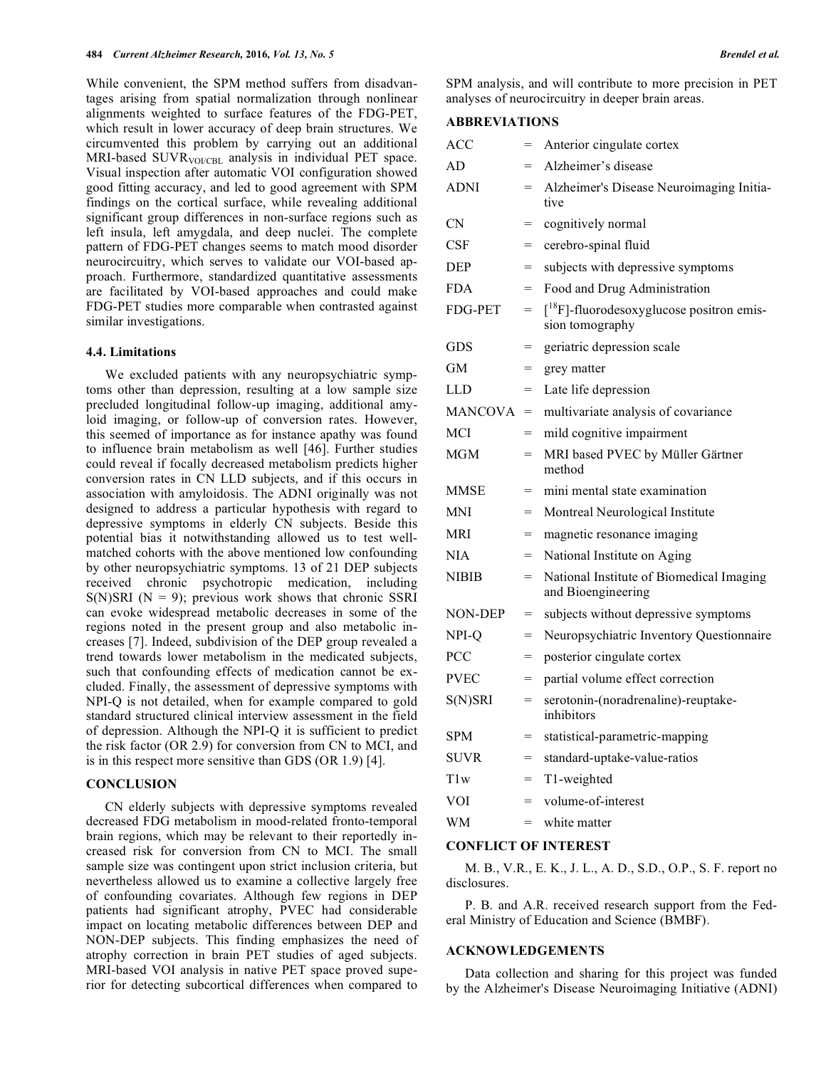While convenient, the SPM method suffers from disadvantages arising from spatial normalization through nonlinear alignments weighted to surface features of the FDG-PET, which result in lower accuracy of deep brain structures. We circumvented this problem by carrying out an additional MRI-based SUVR<sub>VOI/CBL</sub> analysis in individual PET space. Visual inspection after automatic VOI configuration showed good fitting accuracy, and led to good agreement with SPM findings on the cortical surface, while revealing additional significant group differences in non-surface regions such as left insula, left amygdala, and deep nuclei. The complete pattern of FDG-PET changes seems to match mood disorder neurocircuitry, which serves to validate our VOI-based approach. Furthermore, standardized quantitative assessments are facilitated by VOI-based approaches and could make FDG-PET studies more comparable when contrasted against similar investigations.

## **4.4. Limitations**

We excluded patients with any neuropsychiatric symptoms other than depression, resulting at a low sample size precluded longitudinal follow-up imaging, additional amyloid imaging, or follow-up of conversion rates. However, this seemed of importance as for instance apathy was found to influence brain metabolism as well [46]. Further studies could reveal if focally decreased metabolism predicts higher conversion rates in CN LLD subjects, and if this occurs in association with amyloidosis. The ADNI originally was not designed to address a particular hypothesis with regard to depressive symptoms in elderly CN subjects. Beside this potential bias it notwithstanding allowed us to test wellmatched cohorts with the above mentioned low confounding by other neuropsychiatric symptoms. 13 of 21 DEP subjects received chronic psychotropic medication, including  $S(N)SRI (N = 9)$ ; previous work shows that chronic SSRI can evoke widespread metabolic decreases in some of the regions noted in the present group and also metabolic increases [7]. Indeed, subdivision of the DEP group revealed a trend towards lower metabolism in the medicated subjects, such that confounding effects of medication cannot be excluded. Finally, the assessment of depressive symptoms with NPI-Q is not detailed, when for example compared to gold standard structured clinical interview assessment in the field of depression. Although the NPI-Q it is sufficient to predict the risk factor (OR 2.9) for conversion from CN to MCI, and is in this respect more sensitive than GDS (OR 1.9) [4].

# **CONCLUSION**

CN elderly subjects with depressive symptoms revealed decreased FDG metabolism in mood-related fronto-temporal brain regions, which may be relevant to their reportedly increased risk for conversion from CN to MCI. The small sample size was contingent upon strict inclusion criteria, but nevertheless allowed us to examine a collective largely free of confounding covariates. Although few regions in DEP patients had significant atrophy, PVEC had considerable impact on locating metabolic differences between DEP and NON-DEP subjects. This finding emphasizes the need of atrophy correction in brain PET studies of aged subjects. MRI-based VOI analysis in native PET space proved superior for detecting subcortical differences when compared to

SPM analysis, and will contribute to more precision in PET analyses of neurocircuitry in deeper brain areas.

# **ABBREVIATIONS**

| ACC             | $=$ | Anterior cingulate cortex                                                     |
|-----------------|-----|-------------------------------------------------------------------------------|
| AD              | $=$ | Alzheimer's disease                                                           |
| <b>ADNI</b>     | =   | Alzheimer's Disease Neuroimaging Initia-<br>tive                              |
| <b>CN</b>       | $=$ | cognitively normal                                                            |
| CSF             | $=$ | cerebro-spinal fluid                                                          |
| DEP             | $=$ | subjects with depressive symptoms                                             |
| <b>FDA</b>      | $=$ | Food and Drug Administration                                                  |
| <b>FDG-PET</b>  | $=$ | $\int$ <sup>18</sup> F]-fluorodesoxyglucose positron emis-<br>sion tomography |
| GDS             | $=$ | geriatric depression scale                                                    |
| GM              | $=$ | grey matter                                                                   |
| LLD             | $=$ | Late life depression                                                          |
| <b>MANCOVA</b>  | $=$ | multivariate analysis of covariance                                           |
| MCI             | $=$ | mild cognitive impairment                                                     |
| MGM             | $=$ | MRI based PVEC by Müller Gärtner<br>method                                    |
| <b>MMSE</b>     | $=$ | mini mental state examination                                                 |
| <b>MNI</b>      | $=$ | Montreal Neurological Institute                                               |
| <b>MRI</b>      | $=$ | magnetic resonance imaging                                                    |
| <b>NIA</b>      | $=$ | National Institute on Aging                                                   |
| NIBIB           | $=$ | National Institute of Biomedical Imaging<br>and Bioengineering                |
| <b>NON-DEP</b>  | $=$ | subjects without depressive symptoms                                          |
| NPI-Q           | $=$ | Neuropsychiatric Inventory Questionnaire                                      |
| <b>PCC</b>      | $=$ | posterior cingulate cortex                                                    |
| PVEC            | $=$ | partial volume effect correction                                              |
| S(N)SRI         | $=$ | serotonin-(noradrenaline)-reuptake-<br>inhibitors                             |
| <b>SPM</b>      | =   | statistical-parametric-mapping                                                |
| <b>SUVR</b>     | $=$ | standard-uptake-value-ratios                                                  |
| T <sub>1w</sub> | $=$ | T1-weighted                                                                   |
| VOI             | $=$ | volume-of-interest                                                            |
| <b>WM</b>       | $=$ | white matter                                                                  |
|                 |     |                                                                               |

# **CONFLICT OF INTEREST**

M. B., V.R., E. K., J. L., A. D., S.D., O.P., S. F. report no disclosures.

P. B. and A.R. received research support from the Federal Ministry of Education and Science (BMBF).

## **ACKNOWLEDGEMENTS**

Data collection and sharing for this project was funded by the Alzheimer's Disease Neuroimaging Initiative (ADNI)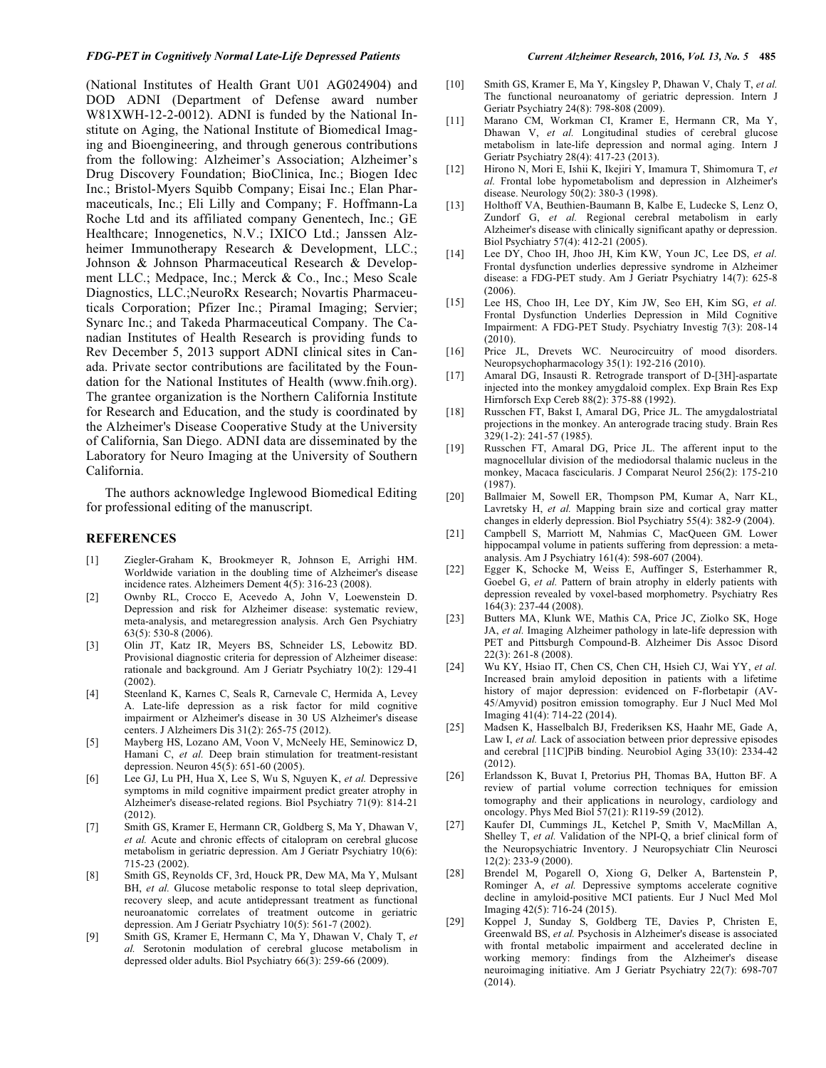#### *FDG-PET in Cognitively Normal Late-Life Depressed Patients Current Alzheimer Research,* **2016***, Vol. 13, No. 5* **485**

(National Institutes of Health Grant U01 AG024904) and DOD ADNI (Department of Defense award number W81XWH-12-2-0012). ADNI is funded by the National Institute on Aging, the National Institute of Biomedical Imaging and Bioengineering, and through generous contributions from the following: Alzheimer's Association; Alzheimer's Drug Discovery Foundation; BioClinica, Inc.; Biogen Idec Inc.; Bristol-Myers Squibb Company; Eisai Inc.; Elan Pharmaceuticals, Inc.; Eli Lilly and Company; F. Hoffmann-La Roche Ltd and its affiliated company Genentech, Inc.; GE Healthcare; Innogenetics, N.V.; IXICO Ltd.; Janssen Alzheimer Immunotherapy Research & Development, LLC.; Johnson & Johnson Pharmaceutical Research & Development LLC.; Medpace, Inc.; Merck & Co., Inc.; Meso Scale Diagnostics, LLC.;NeuroRx Research; Novartis Pharmaceuticals Corporation; Pfizer Inc.; Piramal Imaging; Servier; Synarc Inc.; and Takeda Pharmaceutical Company. The Canadian Institutes of Health Research is providing funds to Rev December 5, 2013 support ADNI clinical sites in Canada. Private sector contributions are facilitated by the Foundation for the National Institutes of Health (www.fnih.org). The grantee organization is the Northern California Institute for Research and Education, and the study is coordinated by the Alzheimer's Disease Cooperative Study at the University of California, San Diego. ADNI data are disseminated by the Laboratory for Neuro Imaging at the University of Southern California.

The authors acknowledge Inglewood Biomedical Editing for professional editing of the manuscript.

## **REFERENCES**

- [1] Ziegler-Graham K, Brookmeyer R, Johnson E, Arrighi HM. Worldwide variation in the doubling time of Alzheimer's disease incidence rates. Alzheimers Dement 4(5): 316-23 (2008).
- [2] Ownby RL, Crocco E, Acevedo A, John V, Loewenstein D. Depression and risk for Alzheimer disease: systematic review, meta-analysis, and metaregression analysis. Arch Gen Psychiatry 63(5): 530-8 (2006).
- [3] Olin JT, Katz IR, Meyers BS, Schneider LS, Lebowitz BD. Provisional diagnostic criteria for depression of Alzheimer disease: rationale and background. Am J Geriatr Psychiatry 10(2): 129-41 (2002).
- [4] Steenland K, Karnes C, Seals R, Carnevale C, Hermida A, Levey A. Late-life depression as a risk factor for mild cognitive impairment or Alzheimer's disease in 30 US Alzheimer's disease centers. J Alzheimers Dis 31(2): 265-75 (2012).
- [5] Mayberg HS, Lozano AM, Voon V, McNeely HE, Seminowicz D, Hamani C, *et al.* Deep brain stimulation for treatment-resistant depression. Neuron 45(5): 651-60 (2005).
- [6] Lee GJ, Lu PH, Hua X, Lee S, Wu S, Nguyen K, *et al.* Depressive symptoms in mild cognitive impairment predict greater atrophy in Alzheimer's disease-related regions. Biol Psychiatry 71(9): 814-21 (2012).
- [7] Smith GS, Kramer E, Hermann CR, Goldberg S, Ma Y, Dhawan V, *et al.* Acute and chronic effects of citalopram on cerebral glucose metabolism in geriatric depression. Am J Geriatr Psychiatry 10(6): 715-23 (2002).
- [8] Smith GS, Reynolds CF, 3rd, Houck PR, Dew MA, Ma Y, Mulsant BH, *et al.* Glucose metabolic response to total sleep deprivation, recovery sleep, and acute antidepressant treatment as functional neuroanatomic correlates of treatment outcome in geriatric depression. Am J Geriatr Psychiatry 10(5): 561-7 (2002).
- [9] Smith GS, Kramer E, Hermann C, Ma Y, Dhawan V, Chaly T, *et al.* Serotonin modulation of cerebral glucose metabolism in depressed older adults. Biol Psychiatry 66(3): 259-66 (2009).
- [10] Smith GS, Kramer E, Ma Y, Kingsley P, Dhawan V, Chaly T, *et al.*  The functional neuroanatomy of geriatric depression. Intern J Geriatr Psychiatry 24(8): 798-808 (2009).
- [11] Marano CM, Workman CI, Kramer E, Hermann CR, Ma Y, Dhawan V, *et al.* Longitudinal studies of cerebral glucose metabolism in late-life depression and normal aging. Intern J Geriatr Psychiatry 28(4): 417-23 (2013).
- [12] Hirono N, Mori E, Ishii K, Ikejiri Y, Imamura T, Shimomura T, *et al.* Frontal lobe hypometabolism and depression in Alzheimer's disease. Neurology 50(2): 380-3 (1998).
- [13] Holthoff VA, Beuthien-Baumann B, Kalbe E, Ludecke S, Lenz O, Zundorf G, *et al.* Regional cerebral metabolism in early Alzheimer's disease with clinically significant apathy or depression. Biol Psychiatry 57(4): 412-21 (2005).
- [14] Lee DY, Choo IH, Jhoo JH, Kim KW, Youn JC, Lee DS, et al. Frontal dysfunction underlies depressive syndrome in Alzheimer disease: a FDG-PET study. Am J Geriatr Psychiatry 14(7): 625-8 (2006).
- [15] Lee HS, Choo IH, Lee DY, Kim JW, Seo EH, Kim SG, *et al.* Frontal Dysfunction Underlies Depression in Mild Cognitive Impairment: A FDG-PET Study. Psychiatry Investig 7(3): 208-14  $(2010)$
- [16] Price JL, Drevets WC. Neurocircuitry of mood disorders. Neuropsychopharmacology 35(1): 192-216 (2010).
- [17] Amaral DG, Insausti R. Retrograde transport of D-[3H]-aspartate injected into the monkey amygdaloid complex. Exp Brain Res Exp Hirnforsch Exp Cereb 88(2): 375-88 (1992).
- [18] Russchen FT, Bakst I, Amaral DG, Price JL. The amygdalostriatal projections in the monkey. An anterograde tracing study. Brain Res 329(1-2): 241-57 (1985).
- [19] Russchen FT, Amaral DG, Price JL. The afferent input to the magnocellular division of the mediodorsal thalamic nucleus in the monkey, Macaca fascicularis. J Comparat Neurol 256(2): 175-210 (1987).
- [20] Ballmaier M, Sowell ER, Thompson PM, Kumar A, Narr KL, Lavretsky H, *et al.* Mapping brain size and cortical gray matter changes in elderly depression. Biol Psychiatry 55(4): 382-9 (2004).
- [21] Campbell S, Marriott M, Nahmias C, MacQueen GM. Lower hippocampal volume in patients suffering from depression: a metaanalysis. Am J Psychiatry 161(4): 598-607 (2004).
- [22] Egger K, Schocke M, Weiss E, Auffinger S, Esterhammer R, Goebel G, *et al.* Pattern of brain atrophy in elderly patients with depression revealed by voxel-based morphometry. Psychiatry Res 164(3): 237-44 (2008).
- [23] Butters MA, Klunk WE, Mathis CA, Price JC, Ziolko SK, Hoge JA, *et al.* Imaging Alzheimer pathology in late-life depression with PET and Pittsburgh Compound-B. Alzheimer Dis Assoc Disord 22(3): 261-8 (2008).
- [24] Wu KY, Hsiao IT, Chen CS, Chen CH, Hsieh CJ, Wai YY, *et al.* Increased brain amyloid deposition in patients with a lifetime history of major depression: evidenced on F-florbetapir (AV-45/Amyvid) positron emission tomography. Eur J Nucl Med Mol Imaging 41(4): 714-22 (2014).
- [25] Madsen K, Hasselbalch BJ, Frederiksen KS, Haahr ME, Gade A, Law I, *et al.* Lack of association between prior depressive episodes and cerebral [11C]PiB binding. Neurobiol Aging 33(10): 2334-42 (2012).
- [26] Erlandsson K, Buvat I, Pretorius PH, Thomas BA, Hutton BF. A review of partial volume correction techniques for emission tomography and their applications in neurology, cardiology and oncology. Phys Med Biol 57(21): R119-59 (2012).
- [27] Kaufer DI, Cummings JL, Ketchel P, Smith V, MacMillan A, Shelley T, *et al.* Validation of the NPI-Q, a brief clinical form of the Neuropsychiatric Inventory. J Neuropsychiatr Clin Neurosci 12(2): 233-9 (2000).
- [28] Brendel M, Pogarell O, Xiong G, Delker A, Bartenstein P, Rominger A, *et al.* Depressive symptoms accelerate cognitive decline in amyloid-positive MCI patients. Eur J Nucl Med Mol Imaging 42(5): 716-24 (2015).
- [29] Koppel J, Sunday S, Goldberg TE, Davies P, Christen E, Greenwald BS, *et al.* Psychosis in Alzheimer's disease is associated with frontal metabolic impairment and accelerated decline in working memory: findings from the Alzheimer's disease neuroimaging initiative. Am J Geriatr Psychiatry 22(7): 698-707 (2014).